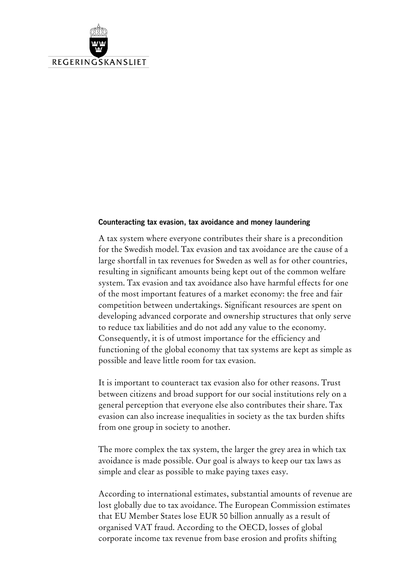

### **Counteracting tax evasion, tax avoidance and money laundering**

A tax system where everyone contributes their share is a precondition for the Swedish model. Tax evasion and tax avoidance are the cause of a large shortfall in tax revenues for Sweden as well as for other countries, resulting in significant amounts being kept out of the common welfare system. Tax evasion and tax avoidance also have harmful effects for one of the most important features of a market economy: the free and fair competition between undertakings. Significant resources are spent on developing advanced corporate and ownership structures that only serve to reduce tax liabilities and do not add any value to the economy. Consequently, it is of utmost importance for the efficiency and functioning of the global economy that tax systems are kept as simple as possible and leave little room for tax evasion.

It is important to counteract tax evasion also for other reasons. Trust between citizens and broad support for our social institutions rely on a general perception that everyone else also contributes their share. Tax evasion can also increase inequalities in society as the tax burden shifts from one group in society to another.

The more complex the tax system, the larger the grey area in which tax avoidance is made possible. Our goal is always to keep our tax laws as simple and clear as possible to make paying taxes easy.

According to international estimates, substantial amounts of revenue are lost globally due to tax avoidance. The European Commission estimates that EU Member States lose EUR 50 billion annually as a result of organised VAT fraud. According to the OECD, losses of global corporate income tax revenue from base erosion and profits shifting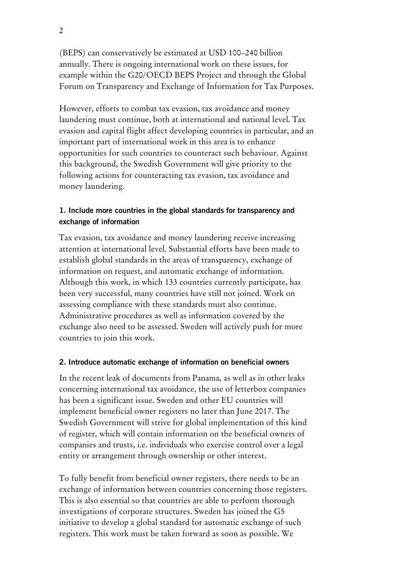(BEPS) can conservatively be estimated at USD 100–240 billion annually. There is ongoing international work on these issues, for example within the G20/OECD BEPS Project and through the Global Forum on Transparency and Exchange of Information for Tax Purposes.

However, efforts to combat tax evasion, tax avoidance and money laundering must continue, both at international and national level. Tax evasion and capital flight affect developing countries in particular, and an important part of international work in this area is to enhance opportunities for such countries to counteract such behaviour. Against this background, the Swedish Government will give priority to the following actions for counteracting tax evasion, tax avoidance and money laundering.

# **1. Include more countries in the global standards for transparency and exchange of information**

Tax evasion, tax avoidance and money laundering receive increasing attention at international level. Substantial efforts have been made to establish global standards in the areas of transparency, exchange of information on request, and automatic exchange of information. Although this work, in which 133 countries currently participate, has been very successful, many countries have still not joined. Work on assessing compliance with these standards must also continue. Administrative procedures as well as information covered by the exchange also need to be assessed. Sweden will actively push for more countries to join this work.

## **2. Introduce automatic exchange of information on beneficial owners**

In the recent leak of documents from Panama, as well as in other leaks concerning international tax avoidance, the use of letterbox companies has been a significant issue. Sweden and other EU countries will implement beneficial owner registers no later than June 2017. The Swedish Government will strive for global implementation of this kind of register, which will contain information on the beneficial owners of companies and trusts, i.e. individuals who exercise control over a legal entity or arrangement through ownership or other interest.

To fully benefit from beneficial owner registers, there needs to be an exchange of information between countries concerning those registers. This is also essential so that countries are able to perform thorough investigations of corporate structures. Sweden has joined the G5 initiative to develop a global standard for automatic exchange of such registers. This work must be taken forward as soon as possible. We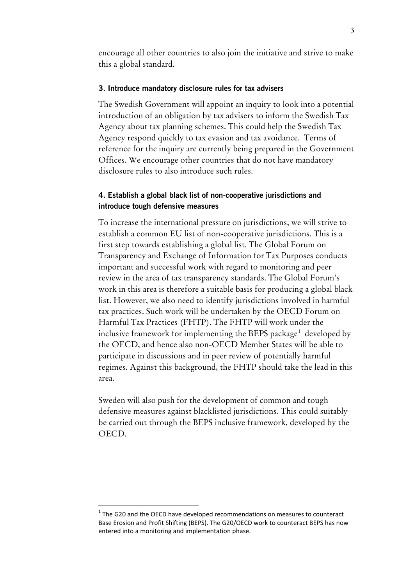encourage all other countries to also join the initiative and strive to make this a global standard.

#### **3. Introduce mandatory disclosure rules for tax advisers**

The Swedish Government will appoint an inquiry to look into a potential introduction of an obligation by tax advisers to inform the Swedish Tax Agency about tax planning schemes. This could help the Swedish Tax Agency respond quickly to tax evasion and tax avoidance. Terms of reference for the inquiry are currently being prepared in the Government Offices. We encourage other countries that do not have mandatory disclosure rules to also introduce such rules.

## **4. Establish a global black list of non-cooperative jurisdictions and introduce tough defensive measures**

To increase the international pressure on jurisdictions, we will strive to establish a common EU list of non-cooperative jurisdictions. This is a first step towards establishing a global list. The Global Forum on Transparency and Exchange of Information for Tax Purposes conducts important and successful work with regard to monitoring and peer review in the area of tax transparency standards. The Global Forum's work in this area is therefore a suitable basis for producing a global black list. However, we also need to identify jurisdictions involved in harmful tax practices. Such work will be undertaken by the OECD Forum on Harmful Tax Practices (FHTP). The FHTP will work under the inclusive framework for implementing the BEPS package $^1$  $^1$  developed by the OECD, and hence also non-OECD Member States will be able to participate in discussions and in peer review of potentially harmful regimes. Against this background, the FHTP should take the lead in this area.

Sweden will also push for the development of common and tough defensive measures against blacklisted jurisdictions. This could suitably be carried out through the BEPS inclusive framework, developed by the OECD.

-

<span id="page-2-0"></span> $1$  The G20 and the OECD have developed recommendations on measures to counteract Base Erosion and Profit Shifting (BEPS). The G20/OECD work to counteract BEPS has now entered into a monitoring and implementation phase.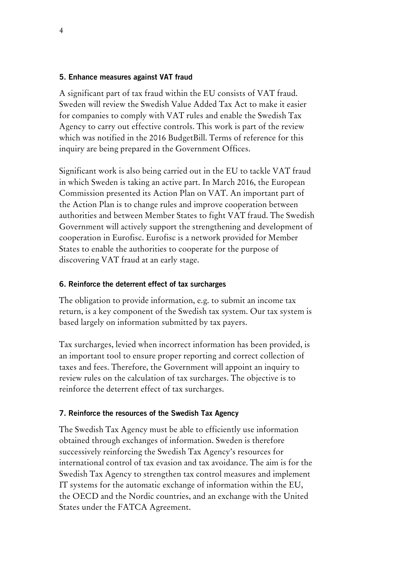## **5. Enhance measures against VAT fraud**

A significant part of tax fraud within the EU consists of VAT fraud. Sweden will review the Swedish Value Added Tax Act to make it easier for companies to comply with VAT rules and enable the Swedish Tax Agency to carry out effective controls. This work is part of the review which was notified in the 2016 BudgetBill. Terms of reference for this inquiry are being prepared in the Government Offices.

Significant work is also being carried out in the EU to tackle VAT fraud in which Sweden is taking an active part. In March 2016, the European Commission presented its Action Plan on VAT. An important part of the Action Plan is to change rules and improve cooperation between authorities and between Member States to fight VAT fraud. The Swedish Government will actively support the strengthening and development of cooperation in Eurofisc. Eurofisc is a network provided for Member States to enable the authorities to cooperate for the purpose of discovering VAT fraud at an early stage.

### **6. Reinforce the deterrent effect of tax surcharges**

The obligation to provide information, e.g. to submit an income tax return, is a key component of the Swedish tax system. Our tax system is based largely on information submitted by tax payers.

Tax surcharges, levied when incorrect information has been provided, is an important tool to ensure proper reporting and correct collection of taxes and fees. Therefore, the Government will appoint an inquiry to review rules on the calculation of tax surcharges. The objective is to reinforce the deterrent effect of tax surcharges.

#### **7. Reinforce the resources of the Swedish Tax Agency**

The Swedish Tax Agency must be able to efficiently use information obtained through exchanges of information. Sweden is therefore successively reinforcing the Swedish Tax Agency's resources for international control of tax evasion and tax avoidance. The aim is for the Swedish Tax Agency to strengthen tax control measures and implement IT systems for the automatic exchange of information within the EU, the OECD and the Nordic countries, and an exchange with the United States under the FATCA Agreement.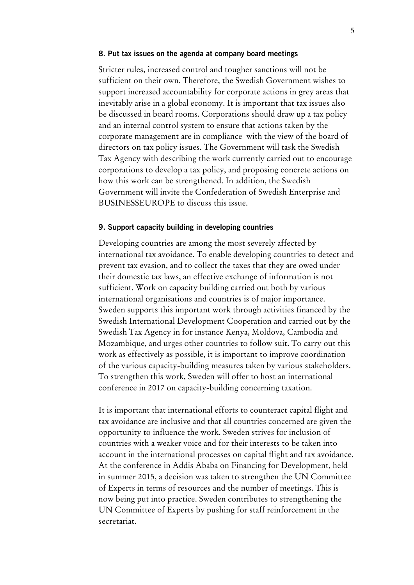#### **8. Put tax issues on the agenda at company board meetings**

Stricter rules, increased control and tougher sanctions will not be sufficient on their own. Therefore, the Swedish Government wishes to support increased accountability for corporate actions in grey areas that inevitably arise in a global economy. It is important that tax issues also be discussed in board rooms. Corporations should draw up a tax policy and an internal control system to ensure that actions taken by the corporate management are in compliance with the view of the board of directors on tax policy issues. The Government will task the Swedish Tax Agency with describing the work currently carried out to encourage corporations to develop a tax policy, and proposing concrete actions on how this work can be strengthened. In addition, the Swedish Government will invite the Confederation of Swedish Enterprise and BUSINESSEUROPE to discuss this issue.

#### **9. Support capacity building in developing countries**

Developing countries are among the most severely affected by international tax avoidance. To enable developing countries to detect and prevent tax evasion, and to collect the taxes that they are owed under their domestic tax laws, an effective exchange of information is not sufficient. Work on capacity building carried out both by various international organisations and countries is of major importance. Sweden supports this important work through activities financed by the Swedish International Development Cooperation and carried out by the Swedish Tax Agency in for instance Kenya, Moldova, Cambodia and Mozambique, and urges other countries to follow suit. To carry out this work as effectively as possible, it is important to improve coordination of the various capacity-building measures taken by various stakeholders. To strengthen this work, Sweden will offer to host an international conference in 2017 on capacity-building concerning taxation.

It is important that international efforts to counteract capital flight and tax avoidance are inclusive and that all countries concerned are given the opportunity to influence the work. Sweden strives for inclusion of countries with a weaker voice and for their interests to be taken into account in the international processes on capital flight and tax avoidance. At the conference in Addis Ababa on Financing for Development, held in summer 2015, a decision was taken to strengthen the UN Committee of Experts in terms of resources and the number of meetings. This is now being put into practice. Sweden contributes to strengthening the UN Committee of Experts by pushing for staff reinforcement in the secretariat.